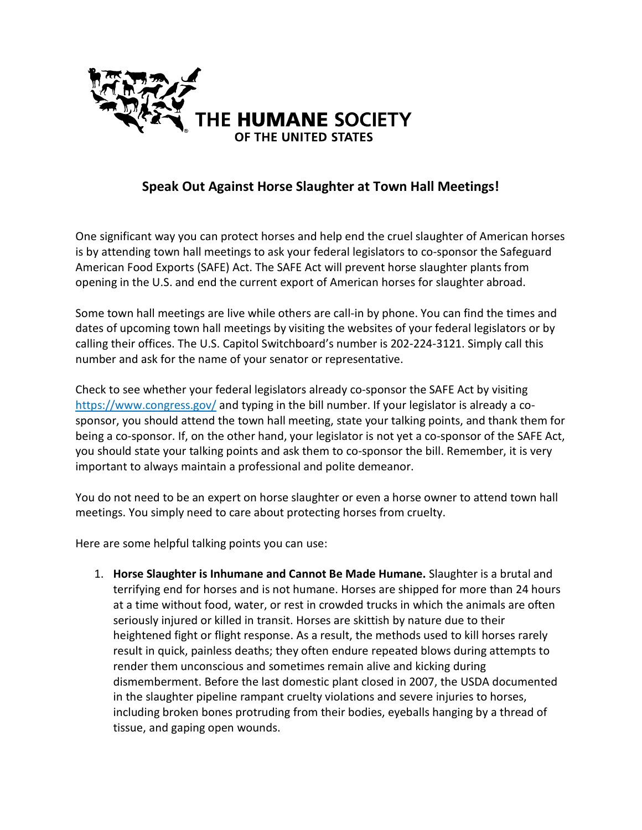

## **Speak Out Against Horse Slaughter at Town Hall Meetings!**

One significant way you can protect horses and help end the cruel slaughter of American horses is by attending town hall meetings to ask your federal legislators to co-sponsor the Safeguard American Food Exports (SAFE) Act. The SAFE Act will prevent horse slaughter plants from opening in the U.S. and end the current export of American horses for slaughter abroad.

Some town hall meetings are live while others are call-in by phone. You can find the times and dates of upcoming town hall meetings by visiting the websites of your federal legislators or by calling their offices. The U.S. Capitol Switchboard's number is 202-224-3121. Simply call this number and ask for the name of your senator or representative.

Check to see whether your federal legislators already co-sponsor the SAFE Act by visiting <https://www.congress.gov/> and typing in the bill number. If your legislator is already a cosponsor, you should attend the town hall meeting, state your talking points, and thank them for being a co-sponsor. If, on the other hand, your legislator is not yet a co-sponsor of the SAFE Act, you should state your talking points and ask them to co-sponsor the bill. Remember, it is very important to always maintain a professional and polite demeanor.

You do not need to be an expert on horse slaughter or even a horse owner to attend town hall meetings. You simply need to care about protecting horses from cruelty.

Here are some helpful talking points you can use:

1. **Horse Slaughter is Inhumane and Cannot Be Made Humane.** Slaughter is a brutal and terrifying end for horses and is not humane. Horses are shipped for more than 24 hours at a time without food, water, or rest in crowded trucks in which the animals are often seriously injured or killed in transit. Horses are skittish by nature due to their heightened fight or flight response. As a result, the methods used to kill horses rarely result in quick, painless deaths; they often endure repeated blows during attempts to render them unconscious and sometimes remain alive and kicking during dismemberment. Before the last domestic plant closed in 2007, the USDA documented in the slaughter pipeline rampant cruelty violations and severe injuries to horses, including broken bones protruding from their bodies, eyeballs hanging by a thread of tissue, and gaping open wounds.